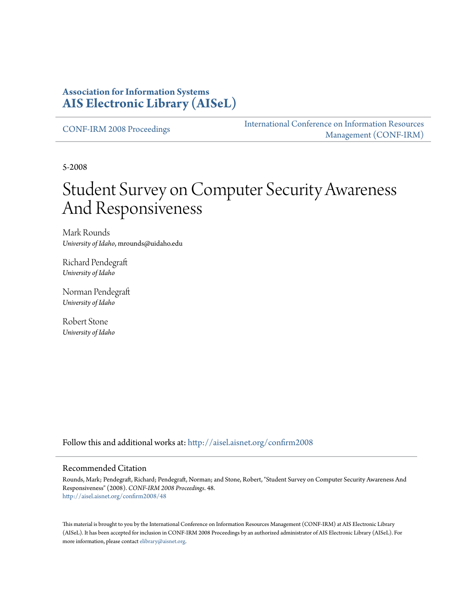### **Association for Information Systems [AIS Electronic Library \(AISeL\)](http://aisel.aisnet.org?utm_source=aisel.aisnet.org%2Fconfirm2008%2F48&utm_medium=PDF&utm_campaign=PDFCoverPages)**

[CONF-IRM 2008 Proceedings](http://aisel.aisnet.org/confirm2008?utm_source=aisel.aisnet.org%2Fconfirm2008%2F48&utm_medium=PDF&utm_campaign=PDFCoverPages)

[International Conference on Information Resources](http://aisel.aisnet.org/conf-irm?utm_source=aisel.aisnet.org%2Fconfirm2008%2F48&utm_medium=PDF&utm_campaign=PDFCoverPages) [Management \(CONF-IRM\)](http://aisel.aisnet.org/conf-irm?utm_source=aisel.aisnet.org%2Fconfirm2008%2F48&utm_medium=PDF&utm_campaign=PDFCoverPages)

5-2008

# Student Survey on Computer Security Awareness And Responsiveness

Mark Rounds *University of Idaho*, mrounds@uidaho.edu

Richard Pendegraft *University of Idaho*

Norman Pendegraft *University of Idaho*

Robert Stone *University of Idaho*

Follow this and additional works at: [http://aisel.aisnet.org/confirm2008](http://aisel.aisnet.org/confirm2008?utm_source=aisel.aisnet.org%2Fconfirm2008%2F48&utm_medium=PDF&utm_campaign=PDFCoverPages)

#### Recommended Citation

Rounds, Mark; Pendegraft, Richard; Pendegraft, Norman; and Stone, Robert, "Student Survey on Computer Security Awareness And Responsiveness" (2008). *CONF-IRM 2008 Proceedings*. 48. [http://aisel.aisnet.org/confirm2008/48](http://aisel.aisnet.org/confirm2008/48?utm_source=aisel.aisnet.org%2Fconfirm2008%2F48&utm_medium=PDF&utm_campaign=PDFCoverPages)

This material is brought to you by the International Conference on Information Resources Management (CONF-IRM) at AIS Electronic Library (AISeL). It has been accepted for inclusion in CONF-IRM 2008 Proceedings by an authorized administrator of AIS Electronic Library (AISeL). For more information, please contact [elibrary@aisnet.org.](mailto:elibrary@aisnet.org%3E)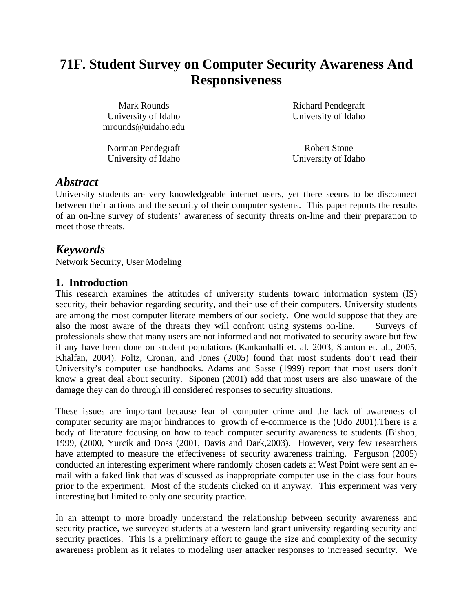## **71F. Student Survey on Computer Security Awareness And Responsiveness**

Mark Rounds University of Idaho mrounds@uidaho.edu

Norman Pendegraft University of Idaho Richard Pendegraft University of Idaho

Robert Stone University of Idaho

### *Abstract*

University students are very knowledgeable internet users, yet there seems to be disconnect between their actions and the security of their computer systems. This paper reports the results of an on-line survey of students' awareness of security threats on-line and their preparation to meet those threats.

### *Keywords*

Network Security, User Modeling

#### **1. Introduction**

This research examines the attitudes of university students toward information system (IS) security, their behavior regarding security, and their use of their computers. University students are among the most computer literate members of our society. One would suppose that they are also the most aware of the threats they will confront using systems on-line. Surveys of professionals show that many users are not informed and not motivated to security aware but few if any have been done on student populations (Kankanhalli et. al. 2003, Stanton et. al., 2005, Khalfan, 2004). Foltz, Cronan, and Jones (2005) found that most students don't read their University's computer use handbooks. Adams and Sasse (1999) report that most users don't know a great deal about security. Siponen (2001) add that most users are also unaware of the damage they can do through ill considered responses to security situations.

These issues are important because fear of computer crime and the lack of awareness of computer security are major hindrances to growth of e-commerce is the (Udo 2001).There is a body of literature focusing on how to teach computer security awareness to students (Bishop, 1999, (2000, Yurcik and Doss (2001, Davis and Dark,2003). However, very few researchers have attempted to measure the effectiveness of security awareness training. Ferguson (2005) conducted an interesting experiment where randomly chosen cadets at West Point were sent an email with a faked link that was discussed as inappropriate computer use in the class four hours prior to the experiment. Most of the students clicked on it anyway. This experiment was very interesting but limited to only one security practice.

In an attempt to more broadly understand the relationship between security awareness and security practice, we surveyed students at a western land grant university regarding security and security practices. This is a preliminary effort to gauge the size and complexity of the security awareness problem as it relates to modeling user attacker responses to increased security. We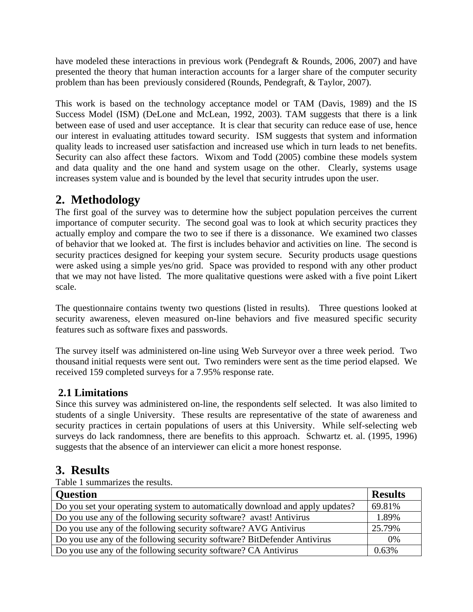have modeled these interactions in previous work (Pendegraft & Rounds, 2006, 2007) and have presented the theory that human interaction accounts for a larger share of the computer security problem than has been previously considered (Rounds, Pendegraft, & Taylor, 2007).

This work is based on the technology acceptance model or TAM (Davis, 1989) and the IS Success Model (ISM) (DeLone and McLean, 1992, 2003). TAM suggests that there is a link between ease of used and user acceptance. It is clear that security can reduce ease of use, hence our interest in evaluating attitudes toward security. ISM suggests that system and information quality leads to increased user satisfaction and increased use which in turn leads to net benefits. Security can also affect these factors. Wixom and Todd (2005) combine these models system and data quality and the one hand and system usage on the other. Clearly, systems usage increases system value and is bounded by the level that security intrudes upon the user.

### **2. Methodology**

The first goal of the survey was to determine how the subject population perceives the current importance of computer security. The second goal was to look at which security practices they actually employ and compare the two to see if there is a dissonance. We examined two classes of behavior that we looked at. The first is includes behavior and activities on line. The second is security practices designed for keeping your system secure. Security products usage questions were asked using a simple yes/no grid. Space was provided to respond with any other product that we may not have listed. The more qualitative questions were asked with a five point Likert scale.

The questionnaire contains twenty two questions (listed in results). Three questions looked at security awareness, eleven measured on-line behaviors and five measured specific security features such as software fixes and passwords.

The survey itself was administered on-line using Web Surveyor over a three week period. Two thousand initial requests were sent out. Two reminders were sent as the time period elapsed. We received 159 completed surveys for a 7.95% response rate.

### **2.1 Limitations**

Since this survey was administered on-line, the respondents self selected. It was also limited to students of a single University. These results are representative of the state of awareness and security practices in certain populations of users at this University. While self-selecting web surveys do lack randomness, there are benefits to this approach. Schwartz et. al. (1995, 1996) suggests that the absence of an interviewer can elicit a more honest response.

### **3. Results**

Table 1 summarizes the results.

| <b>Question</b>                                                               | <b>Results</b> |
|-------------------------------------------------------------------------------|----------------|
| Do you set your operating system to automatically download and apply updates? | 69.81%         |
| Do you use any of the following security software? avast! Antivirus           | 1.89%          |
| Do you use any of the following security software? AVG Antivirus              | 25.79%         |
| Do you use any of the following security software? BitDefender Antivirus      | $0\%$          |
| Do you use any of the following security software? CA Antivirus               | 0.63%          |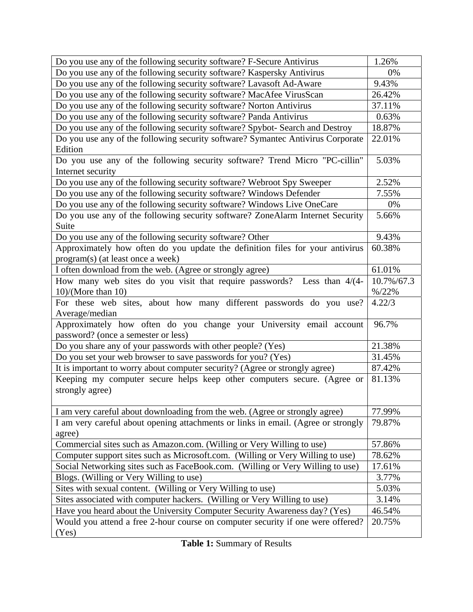| Do you use any of the following security software? F-Secure Antivirus                                              |                  |  |  |  |  |  |
|--------------------------------------------------------------------------------------------------------------------|------------------|--|--|--|--|--|
| Do you use any of the following security software? Kaspersky Antivirus                                             |                  |  |  |  |  |  |
| Do you use any of the following security software? Lavasoft Ad-Aware                                               |                  |  |  |  |  |  |
| Do you use any of the following security software? MacAfee VirusScan                                               |                  |  |  |  |  |  |
| Do you use any of the following security software? Norton Antivirus                                                |                  |  |  |  |  |  |
| Do you use any of the following security software? Panda Antivirus                                                 |                  |  |  |  |  |  |
| Do you use any of the following security software? Spybot- Search and Destroy                                      |                  |  |  |  |  |  |
| Do you use any of the following security software? Symantec Antivirus Corporate<br>Edition                         |                  |  |  |  |  |  |
| Do you use any of the following security software? Trend Micro "PC-cillin"<br>Internet security                    |                  |  |  |  |  |  |
| Do you use any of the following security software? Webroot Spy Sweeper                                             |                  |  |  |  |  |  |
| Do you use any of the following security software? Windows Defender                                                |                  |  |  |  |  |  |
| Do you use any of the following security software? Windows Live OneCare                                            |                  |  |  |  |  |  |
| Do you use any of the following security software? ZoneAlarm Internet Security<br>Suite                            |                  |  |  |  |  |  |
| Do you use any of the following security software? Other                                                           | 9.43%            |  |  |  |  |  |
| Approximately how often do you update the definition files for your antivirus<br>program(s) (at least once a week) |                  |  |  |  |  |  |
| I often download from the web. (Agree or strongly agree)                                                           |                  |  |  |  |  |  |
| How many web sites do you visit that require passwords? Less than 4/(4-                                            | 10.7%/67.3       |  |  |  |  |  |
| $10$ /(More than 10)                                                                                               | $% / 22\%$       |  |  |  |  |  |
| For these web sites, about how many different passwords do you use?<br>Average/median                              |                  |  |  |  |  |  |
| Approximately how often do you change your University email account<br>password? (once a semester or less)         | 96.7%            |  |  |  |  |  |
| Do you share any of your passwords with other people? (Yes)                                                        | 21.38%           |  |  |  |  |  |
| Do you set your web browser to save passwords for you? (Yes)                                                       |                  |  |  |  |  |  |
| It is important to worry about computer security? (Agree or strongly agree)                                        |                  |  |  |  |  |  |
| Keeping my computer secure helps keep other computers secure. (Agree or<br>strongly agree)                         | 87.42%<br>81.13% |  |  |  |  |  |
| I am very careful about downloading from the web. (Agree or strongly agree)                                        | 77.99%           |  |  |  |  |  |
| I am very careful about opening attachments or links in email. (Agree or strongly<br>agree)                        | 79.87%           |  |  |  |  |  |
| Commercial sites such as Amazon.com. (Willing or Very Willing to use)                                              | 57.86%           |  |  |  |  |  |
| Computer support sites such as Microsoft.com. (Willing or Very Willing to use)                                     | 78.62%           |  |  |  |  |  |
| Social Networking sites such as FaceBook.com. (Willing or Very Willing to use)                                     | 17.61%           |  |  |  |  |  |
| Blogs. (Willing or Very Willing to use)                                                                            | 3.77%            |  |  |  |  |  |
| Sites with sexual content. (Willing or Very Willing to use)                                                        | 5.03%            |  |  |  |  |  |
| Sites associated with computer hackers. (Willing or Very Willing to use)                                           | 3.14%            |  |  |  |  |  |
| Have you heard about the University Computer Security Awareness day? (Yes)                                         |                  |  |  |  |  |  |
| Would you attend a free 2-hour course on computer security if one were offered?<br>(Yes)                           |                  |  |  |  |  |  |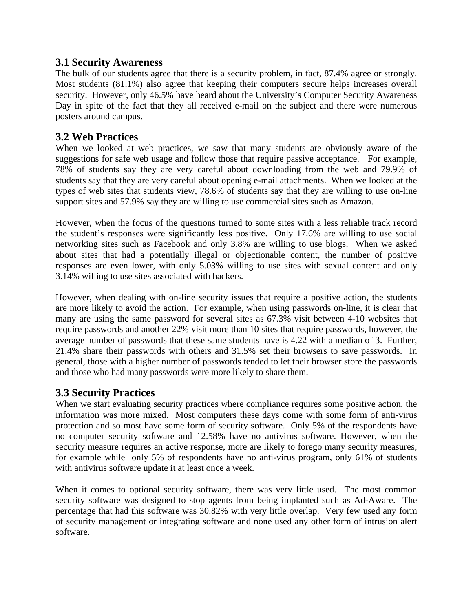#### **3.1 Security Awareness**

The bulk of our students agree that there is a security problem, in fact, 87.4% agree or strongly. Most students (81.1%) also agree that keeping their computers secure helps increases overall security. However, only 46.5% have heard about the University's Computer Security Awareness Day in spite of the fact that they all received e-mail on the subject and there were numerous posters around campus.

#### **3.2 Web Practices**

When we looked at web practices, we saw that many students are obviously aware of the suggestions for safe web usage and follow those that require passive acceptance. For example, 78% of students say they are very careful about downloading from the web and 79.9% of students say that they are very careful about opening e-mail attachments. When we looked at the types of web sites that students view, 78.6% of students say that they are willing to use on-line support sites and 57.9% say they are willing to use commercial sites such as Amazon.

However, when the focus of the questions turned to some sites with a less reliable track record the student's responses were significantly less positive. Only 17.6% are willing to use social networking sites such as Facebook and only 3.8% are willing to use blogs. When we asked about sites that had a potentially illegal or objectionable content, the number of positive responses are even lower, with only 5.03% willing to use sites with sexual content and only 3.14% willing to use sites associated with hackers.

However, when dealing with on-line security issues that require a positive action, the students are more likely to avoid the action. For example, when using passwords on-line, it is clear that many are using the same password for several sites as 67.3% visit between 4-10 websites that require passwords and another 22% visit more than 10 sites that require passwords, however, the average number of passwords that these same students have is 4.22 with a median of 3. Further, 21.4% share their passwords with others and 31.5% set their browsers to save passwords. In general, those with a higher number of passwords tended to let their browser store the passwords and those who had many passwords were more likely to share them.

### **3.3 Security Practices**

When we start evaluating security practices where compliance requires some positive action, the information was more mixed. Most computers these days come with some form of anti-virus protection and so most have some form of security software. Only 5% of the respondents have no computer security software and 12.58% have no antivirus software. However, when the security measure requires an active response, more are likely to forego many security measures, for example while only 5% of respondents have no anti-virus program, only 61% of students with antivirus software update it at least once a week.

When it comes to optional security software, there was very little used. The most common security software was designed to stop agents from being implanted such as Ad-Aware. The percentage that had this software was 30.82% with very little overlap. Very few used any form of security management or integrating software and none used any other form of intrusion alert software.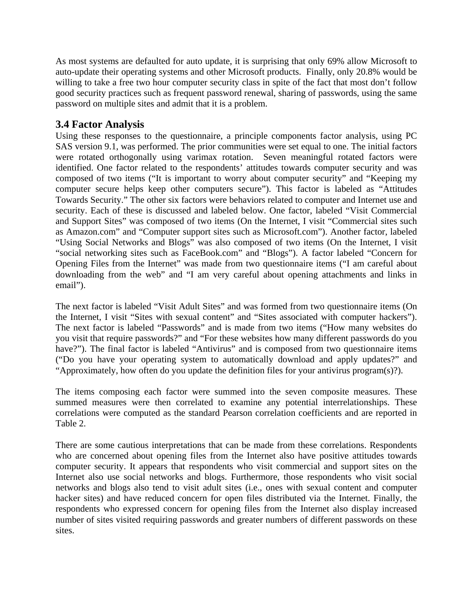As most systems are defaulted for auto update, it is surprising that only 69% allow Microsoft to auto-update their operating systems and other Microsoft products. Finally, only 20.8% would be willing to take a free two hour computer security class in spite of the fact that most don't follow good security practices such as frequent password renewal, sharing of passwords, using the same password on multiple sites and admit that it is a problem.

#### **3.4 Factor Analysis**

Using these responses to the questionnaire, a principle components factor analysis, using PC SAS version 9.1, was performed. The prior communities were set equal to one. The initial factors were rotated orthogonally using varimax rotation. Seven meaningful rotated factors were identified. One factor related to the respondents' attitudes towards computer security and was composed of two items ("It is important to worry about computer security" and "Keeping my computer secure helps keep other computers secure"). This factor is labeled as "Attitudes Towards Security." The other six factors were behaviors related to computer and Internet use and security. Each of these is discussed and labeled below. One factor, labeled "Visit Commercial and Support Sites" was composed of two items (On the Internet, I visit "Commercial sites such as Amazon.com" and "Computer support sites such as Microsoft.com"). Another factor, labeled "Using Social Networks and Blogs" was also composed of two items (On the Internet, I visit "social networking sites such as FaceBook.com" and "Blogs"). A factor labeled "Concern for Opening Files from the Internet" was made from two questionnaire items ("I am careful about downloading from the web" and "I am very careful about opening attachments and links in email").

The next factor is labeled "Visit Adult Sites" and was formed from two questionnaire items (On the Internet, I visit "Sites with sexual content" and "Sites associated with computer hackers"). The next factor is labeled "Passwords" and is made from two items ("How many websites do you visit that require passwords?" and "For these websites how many different passwords do you have?"). The final factor is labeled "Antivirus" and is composed from two questionnaire items ("Do you have your operating system to automatically download and apply updates?" and "Approximately, how often do you update the definition files for your antivirus program(s)?).

The items composing each factor were summed into the seven composite measures. These summed measures were then correlated to examine any potential interrelationships. These correlations were computed as the standard Pearson correlation coefficients and are reported in Table 2.

There are some cautious interpretations that can be made from these correlations. Respondents who are concerned about opening files from the Internet also have positive attitudes towards computer security. It appears that respondents who visit commercial and support sites on the Internet also use social networks and blogs. Furthermore, those respondents who visit social networks and blogs also tend to visit adult sites (i.e., ones with sexual content and computer hacker sites) and have reduced concern for open files distributed via the Internet. Finally, the respondents who expressed concern for opening files from the Internet also display increased number of sites visited requiring passwords and greater numbers of different passwords on these sites.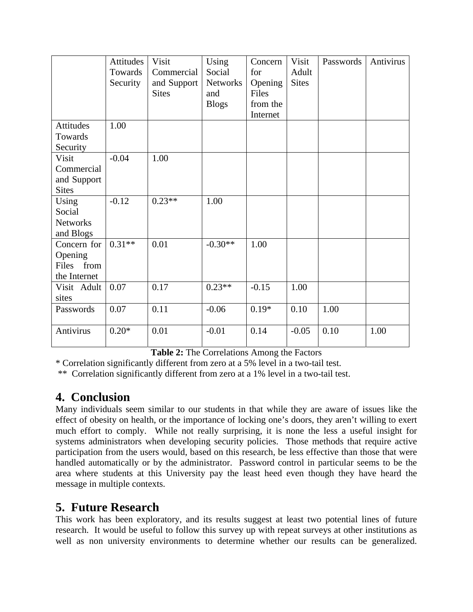|                 | <b>Attitudes</b> | Visit        | Using           | Concern  | Visit        | Passwords | Antivirus |
|-----------------|------------------|--------------|-----------------|----------|--------------|-----------|-----------|
|                 | Towards          | Commercial   | Social          | for      | Adult        |           |           |
|                 | Security         | and Support  | <b>Networks</b> | Opening  | <b>Sites</b> |           |           |
|                 |                  | <b>Sites</b> | and             | Files    |              |           |           |
|                 |                  |              | <b>Blogs</b>    | from the |              |           |           |
|                 |                  |              |                 | Internet |              |           |           |
| Attitudes       | 1.00             |              |                 |          |              |           |           |
| Towards         |                  |              |                 |          |              |           |           |
| Security        |                  |              |                 |          |              |           |           |
| Visit           | $-0.04$          | 1.00         |                 |          |              |           |           |
| Commercial      |                  |              |                 |          |              |           |           |
| and Support     |                  |              |                 |          |              |           |           |
| <b>Sites</b>    |                  |              |                 |          |              |           |           |
| Using           | $-0.12$          | $0.23**$     | 1.00            |          |              |           |           |
| Social          |                  |              |                 |          |              |           |           |
| <b>Networks</b> |                  |              |                 |          |              |           |           |
| and Blogs       |                  |              |                 |          |              |           |           |
| Concern for     | $0.31**$         | 0.01         | $-0.30**$       | 1.00     |              |           |           |
| Opening         |                  |              |                 |          |              |           |           |
| Files from      |                  |              |                 |          |              |           |           |
| the Internet    |                  |              |                 |          |              |           |           |
| Visit Adult     | 0.07             | 0.17         | $0.23**$        | $-0.15$  | 1.00         |           |           |
| sites           |                  |              |                 |          |              |           |           |
| Passwords       | 0.07             | 0.11         | $-0.06$         | $0.19*$  | 0.10         | 1.00      |           |
|                 |                  |              |                 |          |              |           |           |
| Antivirus       | $0.20*$          | 0.01         | $-0.01$         | 0.14     | $-0.05$      | 0.10      | 1.00      |

**Table 2:** The Correlations Among the Factors

\* Correlation significantly different from zero at a 5% level in a two-tail test.

\*\* Correlation significantly different from zero at a 1% level in a two-tail test.

### **4. Conclusion**

Many individuals seem similar to our students in that while they are aware of issues like the effect of obesity on health, or the importance of locking one's doors, they aren't willing to exert much effort to comply. While not really surprising, it is none the less a useful insight for systems administrators when developing security policies. Those methods that require active participation from the users would, based on this research, be less effective than those that were handled automatically or by the administrator. Password control in particular seems to be the area where students at this University pay the least heed even though they have heard the message in multiple contexts.

### **5. Future Research**

This work has been exploratory, and its results suggest at least two potential lines of future research. It would be useful to follow this survey up with repeat surveys at other institutions as well as non university environments to determine whether our results can be generalized.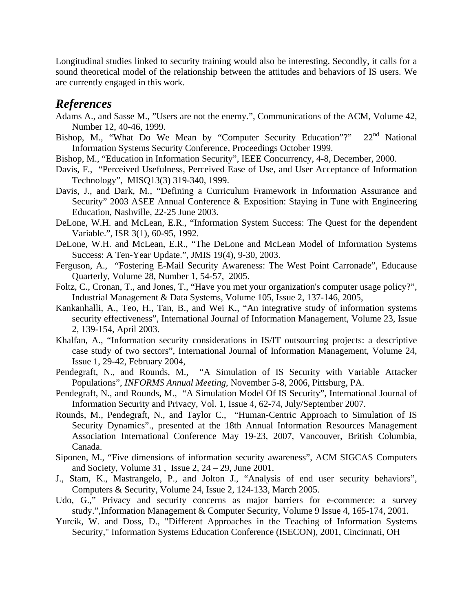Longitudinal studies linked to security training would also be interesting. Secondly, it calls for a sound theoretical model of the relationship between the attitudes and behaviors of IS users. We are currently engaged in this work.

### *References*

- Adams A., and Sasse M., "Users are not the enemy.", Communications of the ACM, Volume 42, Number 12, 40-46, 1999.
- Bishop, M., "What Do We Mean by "Computer Security Education"?"  $22<sup>nd</sup>$  National Information Systems Security Conference, Proceedings October 1999.
- Bishop, M., "Education in Information Security", IEEE Concurrency, 4-8, December, 2000.
- Davis, F., "Perceived Usefulness, Perceived Ease of Use, and User Acceptance of Information Technology", MISQ13(3) 319-340, 1999.
- Davis, J., and Dark, M., "Defining a Curriculum Framework in Information Assurance and Security" 2003 ASEE Annual Conference & Exposition: Staying in Tune with Engineering Education, Nashville, 22-25 June 2003.
- DeLone, W.H. and McLean, E.R., "Information System Success: The Quest for the dependent Variable.", ISR 3(1), 60-95, 1992.
- DeLone, W.H. and McLean, E.R., "The DeLone and McLean Model of Information Systems Success: A Ten-Year Update.", JMIS 19(4), 9-30, 2003.
- Ferguson, A., "Fostering E-Mail Security Awareness: The West Point Carronade", Educause Quarterly, Volume 28, Number 1, 54-57, 2005.
- Foltz, C., Cronan, T., and Jones, T., "Have you met your organization's computer usage policy?", Industrial Management & Data Systems, Volume 105, Issue 2, 137-146, 2005,
- Kankanhalli, A., Teo, H., Tan, B., and Wei K., "An integrative study of information systems security effectiveness", International Journal of Information Management, Volume 23, Issue 2, 139-154, April 2003.
- Khalfan, A., "Information security considerations in IS/IT outsourcing projects: a descriptive case study of two sectors", International Journal of Information Management, Volume 24, Issue 1, 29-42, February 2004,
- Pendegraft, N., and Rounds, M., "A Simulation of IS Security with Variable Attacker Populations", *INFORMS Annual Meeting*, November 5-8, 2006, Pittsburg, PA.
- Pendegraft, N., and Rounds, M., "A Simulation Model Of IS Security", International Journal of Information Security and Privacy, Vol. 1, Issue 4, 62-74, July/September 2007.
- Rounds, M., Pendegraft, N., and Taylor C., "Human-Centric Approach to Simulation of IS Security Dynamics"., presented at the 18th Annual Information Resources Management Association International Conference May 19-23, 2007, Vancouver, British Columbia, Canada.
- Siponen, M., "Five dimensions of information security awareness", ACM SIGCAS Computers and Society, Volume 31 , Issue 2, 24 – 29, June 2001.
- J., Stam, K., Mastrangelo, P., and Jolton J., "Analysis of end user security behaviors", Computers & Security, Volume 24, Issue 2, 124-133, March 2005.
- Udo, G.," Privacy and security concerns as major barriers for e-commerce: a survey study.",Information Management & Computer Security, Volume 9 Issue 4, 165-174, 2001.
- Yurcik, W. and Doss, D., "Different Approaches in the Teaching of Information Systems Security," Information Systems Education Conference (ISECON), 2001, Cincinnati, OH